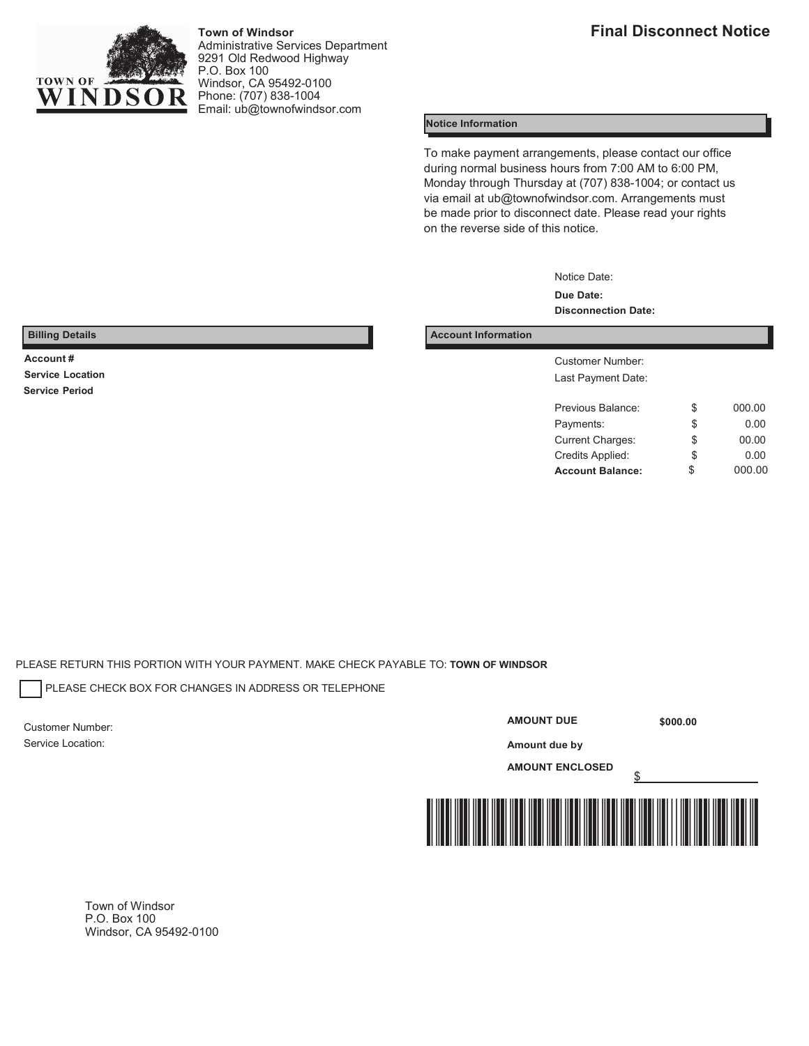

**Town of Windsor** Administrative Services Department 9291 Old Redwood Highway P.O. Box 100 Windsor, CA 95492-0100 Phone: (707) 838-1004 Email[: ub@townofwindsor.com](mailto:ub@townofwindsor.com)

### **Notice Information**

To make payment arrangements, please contact our office during normal business hours from 7:00 AM to 6:00 PM, Monday through Thursday at (707) 838-1004; or contact us via email at [ub@townofwindsor.com.](mailto:ub@townofwindsor.com) Arrangements must be made prior to disconnect date. Please read your rights on the reverse side of this notice.

> Notice Date: **Due Date: Disconnection Date:**

#### **Billing Details Account Information**

**Account #** Customer Number: Last Payment Date:

| <b>Account Balance:</b> | \$<br>000.00 |
|-------------------------|--------------|
| Credits Applied:        | \$<br>0.00   |
| <b>Current Charges:</b> | \$<br>00.00  |
| Payments:               | \$<br>0.00   |
| Previous Balance:       | \$<br>000.00 |
|                         |              |

**Service Location Service Period**

PLEASE RETURN THIS PORTION WITH YOUR PAYMENT. MAKE CHECK PAYABLE TO: **TOWN OF WINDSOR**

PLEASE CHECK BOX FOR CHANGES IN ADDRESS OR TELEPHONE

Customer Number: Service Location:

#### **AMOUNT DUE**

**\$000.00** 

**Amount due by AMOUNT ENCLOSED**

\$



Town of Windsor P.O. Box 100 Windsor, CA 95492-0100